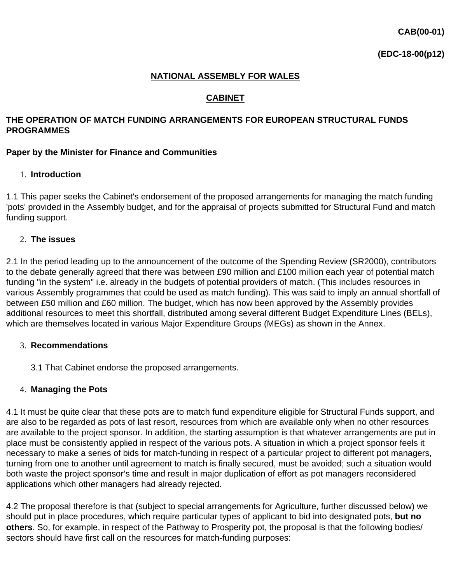## **NATIONAL ASSEMBLY FOR WALES**

## **CABINET**

### **THE OPERATION OF MATCH FUNDING ARRANGEMENTS FOR EUROPEAN STRUCTURAL FUNDS PROGRAMMES**

### **Paper by the Minister for Finance and Communities**

## 1. **Introduction**

1.1 This paper seeks the Cabinet's endorsement of the proposed arrangements for managing the match funding 'pots' provided in the Assembly budget, and for the appraisal of projects submitted for Structural Fund and match funding support.

### 2. **The issues**

2.1 In the period leading up to the announcement of the outcome of the Spending Review (SR2000), contributors to the debate generally agreed that there was between £90 million and £100 million each year of potential match funding "in the system" i.e. already in the budgets of potential providers of match. (This includes resources in various Assembly programmes that could be used as match funding). This was said to imply an annual shortfall of between £50 million and £60 million. The budget, which has now been approved by the Assembly provides additional resources to meet this shortfall, distributed among several different Budget Expenditure Lines (BELs), which are themselves located in various Major Expenditure Groups (MEGs) as shown in the Annex.

#### 3. **Recommendations**

3.1 That Cabinet endorse the proposed arrangements.

#### 4. **Managing the Pots**

4.1 It must be quite clear that these pots are to match fund expenditure eligible for Structural Funds support, and are also to be regarded as pots of last resort, resources from which are available only when no other resources are available to the project sponsor. In addition, the starting assumption is that whatever arrangements are put in place must be consistently applied in respect of the various pots. A situation in which a project sponsor feels it necessary to make a series of bids for match-funding in respect of a particular project to different pot managers, turning from one to another until agreement to match is finally secured, must be avoided; such a situation would both waste the project sponsor's time and result in major duplication of effort as pot managers reconsidered applications which other managers had already rejected.

4.2 The proposal therefore is that (subject to special arrangements for Agriculture, further discussed below) we should put in place procedures, which require particular types of applicant to bid into designated pots, **but no others**. So, for example, in respect of the Pathway to Prosperity pot, the proposal is that the following bodies/ sectors should have first call on the resources for match-funding purposes: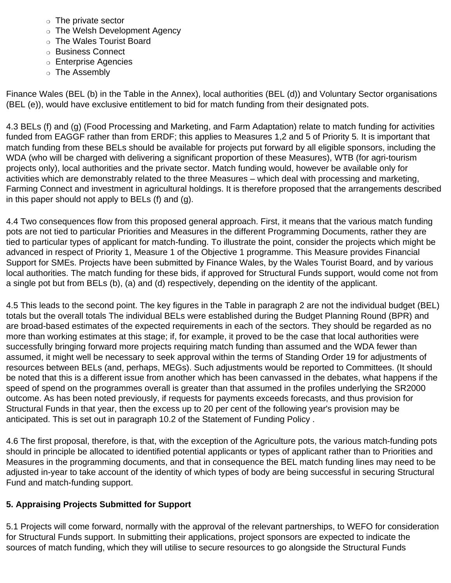- ❍ The private sector
- ❍ The Welsh Development Agency
- ❍ The Wales Tourist Board
- ❍ Business Connect
- ❍ Enterprise Agencies
- ❍ The Assembly

Finance Wales (BEL (b) in the Table in the Annex), local authorities (BEL (d)) and Voluntary Sector organisations (BEL (e)), would have exclusive entitlement to bid for match funding from their designated pots.

4.3 BELs (f) and (g) (Food Processing and Marketing, and Farm Adaptation) relate to match funding for activities funded from EAGGF rather than from ERDF; this applies to Measures 1,2 and 5 of Priority 5*.* It is important that match funding from these BELs should be available for projects put forward by all eligible sponsors, including the WDA (who will be charged with delivering a significant proportion of these Measures), WTB (for agri-tourism projects only), local authorities and the private sector. Match funding would, however be available only for activities which are demonstrably related to the three Measures – which deal with processing and marketing, Farming Connect and investment in agricultural holdings. It is therefore proposed that the arrangements described in this paper should not apply to BELs (f) and (g).

4.4 Two consequences flow from this proposed general approach. First, it means that the various match funding pots are not tied to particular Priorities and Measures in the different Programming Documents, rather they are tied to particular types of applicant for match-funding. To illustrate the point, consider the projects which might be advanced in respect of Priority 1, Measure 1 of the Objective 1 programme. This Measure provides Financial Support for SMEs. Projects have been submitted by Finance Wales, by the Wales Tourist Board, and by various local authorities. The match funding for these bids, if approved for Structural Funds support, would come not from a single pot but from BELs (b), (a) and (d) respectively, depending on the identity of the applicant.

4.5 This leads to the second point. The key figures in the Table in paragraph 2 are not the individual budget (BEL) totals but the overall totals The individual BELs were established during the Budget Planning Round (BPR) and are broad-based estimates of the expected requirements in each of the sectors. They should be regarded as no more than working estimates at this stage; if, for example, it proved to be the case that local authorities were successfully bringing forward more projects requiring match funding than assumed and the WDA fewer than assumed, it might well be necessary to seek approval within the terms of Standing Order 19 for adjustments of resources between BELs (and, perhaps, MEGs). Such adjustments would be reported to Committees. (It should be noted that this is a different issue from another which has been canvassed in the debates, what happens if the speed of spend on the programmes overall is greater than that assumed in the profiles underlying the SR2000 outcome. As has been noted previously, if requests for payments exceeds forecasts, and thus provision for Structural Funds in that year, then the excess up to 20 per cent of the following year's provision may be anticipated. This is set out in paragraph 10.2 of the Statement of Funding Policy .

4.6 The first proposal, therefore, is that, with the exception of the Agriculture pots, the various match-funding pots should in principle be allocated to identified potential applicants or types of applicant rather than to Priorities and Measures in the programming documents, and that in consequence the BEL match funding lines may need to be adjusted in-year to take account of the identity of which types of body are being successful in securing Structural Fund and match-funding support.

## **5. Appraising Projects Submitted for Support**

5.1 Projects will come forward, normally with the approval of the relevant partnerships, to WEFO for consideration for Structural Funds support. In submitting their applications, project sponsors are expected to indicate the sources of match funding, which they will utilise to secure resources to go alongside the Structural Funds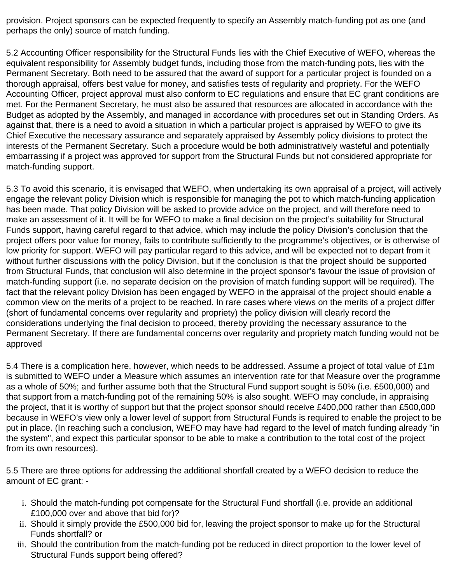provision. Project sponsors can be expected frequently to specify an Assembly match-funding pot as one (and perhaps the only) source of match funding.

5.2 Accounting Officer responsibility for the Structural Funds lies with the Chief Executive of WEFO, whereas the equivalent responsibility for Assembly budget funds, including those from the match-funding pots, lies with the Permanent Secretary. Both need to be assured that the award of support for a particular project is founded on a thorough appraisal, offers best value for money, and satisfies tests of regularity and propriety. For the WEFO Accounting Officer, project approval must also conform to EC regulations and ensure that EC grant conditions are met. For the Permanent Secretary, he must also be assured that resources are allocated in accordance with the Budget as adopted by the Assembly, and managed in accordance with procedures set out in Standing Orders. As against that, there is a need to avoid a situation in which a particular project is appraised by WEFO to give its Chief Executive the necessary assurance and separately appraised by Assembly policy divisions to protect the interests of the Permanent Secretary. Such a procedure would be both administratively wasteful and potentially embarrassing if a project was approved for support from the Structural Funds but not considered appropriate for match-funding support.

5.3 To avoid this scenario, it is envisaged that WEFO, when undertaking its own appraisal of a project, will actively engage the relevant policy Division which is responsible for managing the pot to which match-funding application has been made. That policy Division will be asked to provide advice on the project, and will therefore need to make an assessment of it. It will be for WEFO to make a final decision on the project's suitability for Structural Funds support, having careful regard to that advice, which may include the policy Division's conclusion that the project offers poor value for money, fails to contribute sufficiently to the programme's objectives, or is otherwise of low priority for support. WEFO will pay particular regard to this advice, and will be expected not to depart from it without further discussions with the policy Division, but if the conclusion is that the project should be supported from Structural Funds, that conclusion will also determine in the project sponsor's favour the issue of provision of match-funding support (i.e. no separate decision on the provision of match funding support will be required). The fact that the relevant policy Division has been engaged by WEFO in the appraisal of the project should enable a common view on the merits of a project to be reached. In rare cases where views on the merits of a project differ (short of fundamental concerns over regularity and propriety) the policy division will clearly record the considerations underlying the final decision to proceed, thereby providing the necessary assurance to the Permanent Secretary. If there are fundamental concerns over regularity and propriety match funding would not be approved

5.4 There is a complication here, however, which needs to be addressed. Assume a project of total value of £1m is submitted to WEFO under a Measure which assumes an intervention rate for that Measure over the programme as a whole of 50%; and further assume both that the Structural Fund support sought is 50% (i.e. £500,000) and that support from a match-funding pot of the remaining 50% is also sought. WEFO may conclude, in appraising the project, that it is worthy of support but that the project sponsor should receive £400,000 rather than £500,000 because in WEFO's view only a lower level of support from Structural Funds is required to enable the project to be put in place. (In reaching such a conclusion, WEFO may have had regard to the level of match funding already "in the system", and expect this particular sponsor to be able to make a contribution to the total cost of the project from its own resources).

5.5 There are three options for addressing the additional shortfall created by a WEFO decision to reduce the amount of EC grant: -

- i. Should the match-funding pot compensate for the Structural Fund shortfall (i.e. provide an additional £100,000 over and above that bid for)?
- ii. Should it simply provide the £500,000 bid for, leaving the project sponsor to make up for the Structural Funds shortfall? or
- iii. Should the contribution from the match-funding pot be reduced in direct proportion to the lower level of Structural Funds support being offered?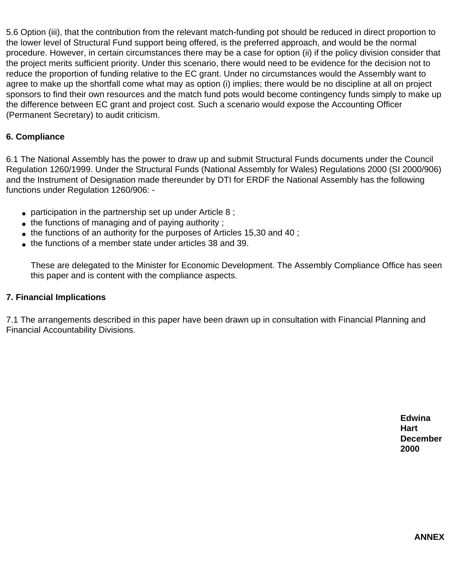5.6 Option (iii), that the contribution from the relevant match-funding pot should be reduced in direct proportion to the lower level of Structural Fund support being offered, is the preferred approach, and would be the normal procedure. However, in certain circumstances there may be a case for option (ii) if the policy division consider that the project merits sufficient priority. Under this scenario, there would need to be evidence for the decision not to reduce the proportion of funding relative to the EC grant. Under no circumstances would the Assembly want to agree to make up the shortfall come what may as option (i) implies; there would be no discipline at all on project sponsors to find their own resources and the match fund pots would become contingency funds simply to make up the difference between EC grant and project cost. Such a scenario would expose the Accounting Officer (Permanent Secretary) to audit criticism.

### **6. Compliance**

6.1 The National Assembly has the power to draw up and submit Structural Funds documents under the Council Regulation 1260/1999. Under the Structural Funds (National Assembly for Wales) Regulations 2000 (SI 2000/906) and the Instrument of Designation made thereunder by DTI for ERDF the National Assembly has the following functions under Regulation 1260/906: -

- participation in the partnership set up under Article  $8$ ;
- $\bullet$  the functions of managing and of paying authority;
- $\bullet$  the functions of an authority for the purposes of Articles 15,30 and 40;
- the functions of a member state under articles 38 and 39.

These are delegated to the Minister for Economic Development. The Assembly Compliance Office has seen this paper and is content with the compliance aspects.

#### **7. Financial Implications**

7.1 The arrangements described in this paper have been drawn up in consultation with Financial Planning and Financial Accountability Divisions.

> **Edwina Hart December 2000**